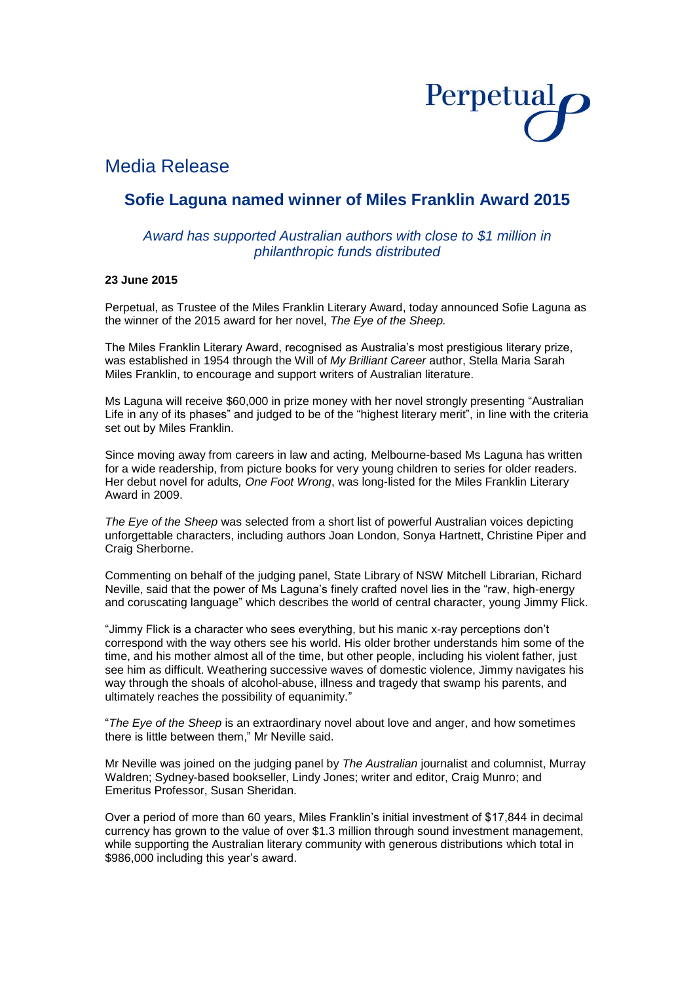

## Media Release

## **Sofie Laguna named winner of Miles Franklin Award 2015**

### *Award has supported Australian authors with close to \$1 million in philanthropic funds distributed*

#### **23 June 2015**

Perpetual, as Trustee of the Miles Franklin Literary Award, today announced Sofie Laguna as the winner of the 2015 award for her novel, *The Eye of the Sheep.*

The Miles Franklin Literary Award, recognised as Australia's most prestigious literary prize, was established in 1954 through the Will of *My Brilliant Career* author, Stella Maria Sarah Miles Franklin, to encourage and support writers of Australian literature.

Ms Laguna will receive \$60,000 in prize money with her novel strongly presenting "Australian Life in any of its phases" and judged to be of the "highest literary merit", in line with the criteria set out by Miles Franklin.

Since moving away from careers in law and acting, Melbourne-based Ms Laguna has written for a wide readership, from picture books for very young children to series for older readers. Her debut novel for adults*, One Foot Wrong*, was long-listed for the Miles Franklin Literary Award in 2009.

*The Eye of the Sheep* was selected from a short list of powerful Australian voices depicting unforgettable characters, including authors Joan London, Sonya Hartnett, Christine Piper and Craig Sherborne.

Commenting on behalf of the judging panel, State Library of NSW Mitchell Librarian, Richard Neville, said that the power of Ms Laguna's finely crafted novel lies in the "raw, high-energy and coruscating language" which describes the world of central character, young Jimmy Flick.

"Jimmy Flick is a character who sees everything, but his manic x-ray perceptions don't correspond with the way others see his world. His older brother understands him some of the time, and his mother almost all of the time, but other people, including his violent father, just see him as difficult. Weathering successive waves of domestic violence, Jimmy navigates his way through the shoals of alcohol-abuse, illness and tragedy that swamp his parents, and ultimately reaches the possibility of equanimity."

"*The Eye of the Sheep* is an extraordinary novel about love and anger, and how sometimes there is little between them," Mr Neville said.

Mr Neville was joined on the judging panel by *The Australian* journalist and columnist, Murray Waldren; Sydney-based bookseller, Lindy Jones; writer and editor, Craig Munro; and Emeritus Professor, Susan Sheridan.

Over a period of more than 60 years, Miles Franklin's initial investment of \$17,844 in decimal currency has grown to the value of over \$1.3 million through sound investment management, while supporting the Australian literary community with generous distributions which total in \$986,000 including this year's award.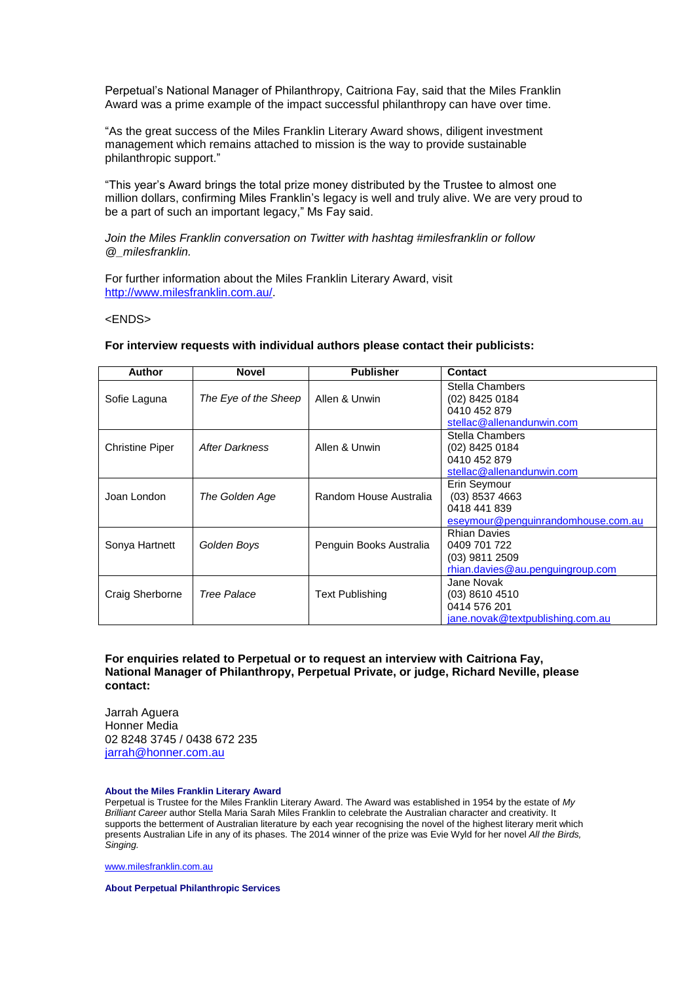Perpetual's National Manager of Philanthropy, Caitriona Fay, said that the Miles Franklin Award was a prime example of the impact successful philanthropy can have over time.

"As the great success of the Miles Franklin Literary Award shows, diligent investment management which remains attached to mission is the way to provide sustainable philanthropic support."

"This year's Award brings the total prize money distributed by the Trustee to almost one million dollars, confirming Miles Franklin's legacy is well and truly alive. We are very proud to be a part of such an important legacy." Ms Fay said.

#### *Join the Miles Franklin conversation on Twitter with hashtag #milesfranklin or follow @\_milesfranklin.*

For further information about the Miles Franklin Literary Award, visit [http://www.milesfranklin.com.au/.](http://www.milesfranklin.com.au/)

#### <ENDS>

# **For interview requests with individual authors please contact their publicists:**

| <b>Author</b>          | <b>Novel</b>         | <b>Publisher</b>        | <b>Contact</b>                     |
|------------------------|----------------------|-------------------------|------------------------------------|
|                        |                      |                         | Stella Chambers                    |
| Sofie Laguna           | The Eye of the Sheep | Allen & Unwin           | (02) 8425 0184                     |
|                        |                      |                         | 0410 452 879                       |
|                        |                      |                         | stellac@allenandunwin.com          |
|                        |                      |                         | Stella Chambers                    |
| <b>Christine Piper</b> | After Darkness       | Allen & Unwin           | (02) 8425 0184                     |
|                        |                      |                         | 0410 452 879                       |
|                        |                      |                         | stellac@allenandunwin.com          |
|                        |                      |                         | Erin Seymour                       |
| Joan London            | The Golden Age       | Random House Australia  | $(03)$ 8537 4663                   |
|                        |                      |                         | 0418 441 839                       |
|                        |                      |                         | eseymour@penguinrandomhouse.com.au |
|                        |                      |                         | <b>Rhian Davies</b>                |
| Sonya Hartnett         | Golden Boys          | Penguin Books Australia | 0409 701 722                       |
|                        |                      |                         | $(03)$ 9811 2509                   |
|                        |                      |                         | rhian.davies@au.penguingroup.com   |
|                        |                      |                         | Jane Novak                         |
| Craig Sherborne        | Tree Palace          | Text Publishing         | $(03)$ 8610 4510                   |
|                        |                      |                         | 0414 576 201                       |
|                        |                      |                         | jane.novak@textpublishing.com.au   |

#### **For enquiries related to Perpetual or to request an interview with Caitriona Fay, National Manager of Philanthropy, Perpetual Private, or judge, Richard Neville, please contact:**

Jarrah Aguera Honner Media 02 8248 3745 / 0438 672 235 [jarrah@honner.com.au](mailto:jarrah@honner.com.au)

#### **About the Miles Franklin Literary Award**

Perpetual is Trustee for the Miles Franklin Literary Award. The Award was established in 1954 by the estate of *My Brilliant Career* author Stella Maria Sarah Miles Franklin to celebrate the Australian character and creativity. It supports the betterment of Australian literature by each year recognising the novel of the highest literary merit which presents Australian Life in any of its phases. The 2014 winner of the prize was Evie Wyld for her novel *All the Birds, Singing.*

[www.milesfranklin.com.au](http://www.milesfranklin.com.au/)

**About Perpetual Philanthropic Services**